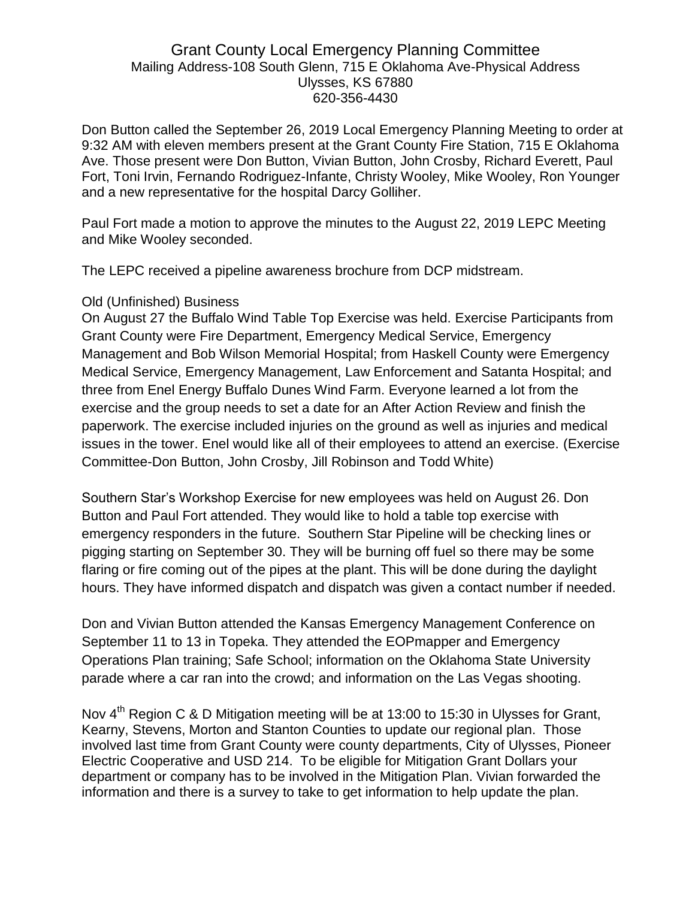## Grant County Local Emergency Planning Committee Mailing Address-108 South Glenn, 715 E Oklahoma Ave-Physical Address Ulysses, KS 67880 620-356-4430

Don Button called the September 26, 2019 Local Emergency Planning Meeting to order at 9:32 AM with eleven members present at the Grant County Fire Station, 715 E Oklahoma Ave. Those present were Don Button, Vivian Button, John Crosby, Richard Everett, Paul Fort, Toni Irvin, Fernando Rodriguez-Infante, Christy Wooley, Mike Wooley, Ron Younger and a new representative for the hospital Darcy Golliher.

Paul Fort made a motion to approve the minutes to the August 22, 2019 LEPC Meeting and Mike Wooley seconded.

The LEPC received a pipeline awareness brochure from DCP midstream.

## Old (Unfinished) Business

On August 27 the Buffalo Wind Table Top Exercise was held. Exercise Participants from Grant County were Fire Department, Emergency Medical Service, Emergency Management and Bob Wilson Memorial Hospital; from Haskell County were Emergency Medical Service, Emergency Management, Law Enforcement and Satanta Hospital; and three from Enel Energy Buffalo Dunes Wind Farm. Everyone learned a lot from the exercise and the group needs to set a date for an After Action Review and finish the paperwork. The exercise included injuries on the ground as well as injuries and medical issues in the tower. Enel would like all of their employees to attend an exercise. (Exercise Committee-Don Button, John Crosby, Jill Robinson and Todd White)

Southern Star's Workshop Exercise for new employees was held on August 26. Don Button and Paul Fort attended. They would like to hold a table top exercise with emergency responders in the future. Southern Star Pipeline will be checking lines or pigging starting on September 30. They will be burning off fuel so there may be some flaring or fire coming out of the pipes at the plant. This will be done during the daylight hours. They have informed dispatch and dispatch was given a contact number if needed.

Don and Vivian Button attended the Kansas Emergency Management Conference on September 11 to 13 in Topeka. They attended the EOPmapper and Emergency Operations Plan training; Safe School; information on the Oklahoma State University parade where a car ran into the crowd; and information on the Las Vegas shooting.

Nov 4<sup>th</sup> Region C & D Mitigation meeting will be at 13:00 to 15:30 in Ulysses for Grant, Kearny, Stevens, Morton and Stanton Counties to update our regional plan. Those involved last time from Grant County were county departments, City of Ulysses, Pioneer Electric Cooperative and USD 214. To be eligible for Mitigation Grant Dollars your department or company has to be involved in the Mitigation Plan. Vivian forwarded the information and there is a survey to take to get information to help update the plan.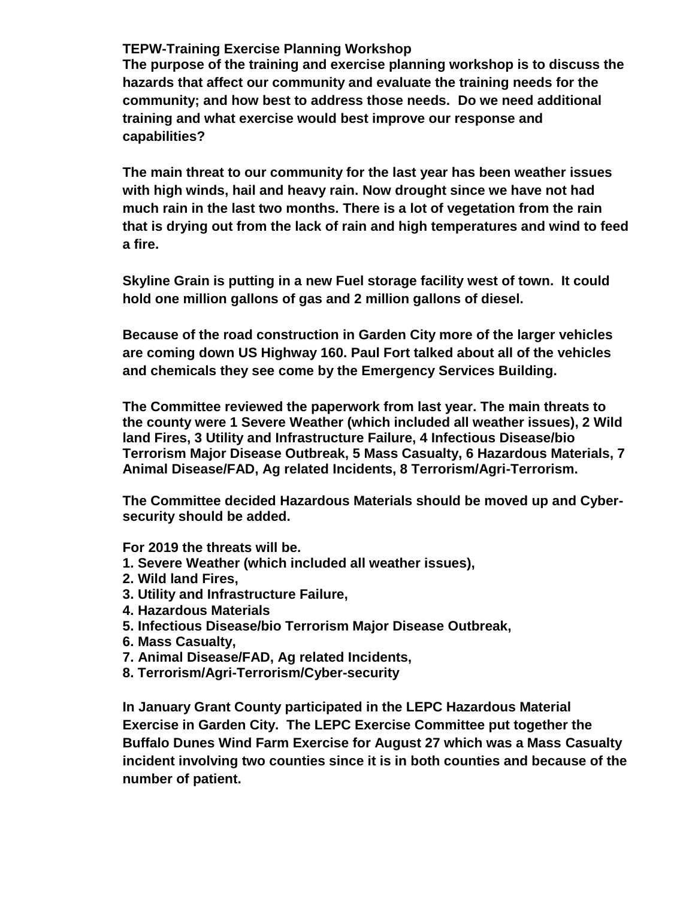## **TEPW-Training Exercise Planning Workshop**

**The purpose of the training and exercise planning workshop is to discuss the hazards that affect our community and evaluate the training needs for the community; and how best to address those needs. Do we need additional training and what exercise would best improve our response and capabilities?**

**The main threat to our community for the last year has been weather issues with high winds, hail and heavy rain. Now drought since we have not had much rain in the last two months. There is a lot of vegetation from the rain that is drying out from the lack of rain and high temperatures and wind to feed a fire.**

**Skyline Grain is putting in a new Fuel storage facility west of town. It could hold one million gallons of gas and 2 million gallons of diesel.**

**Because of the road construction in Garden City more of the larger vehicles are coming down US Highway 160. Paul Fort talked about all of the vehicles and chemicals they see come by the Emergency Services Building.**

**The Committee reviewed the paperwork from last year. The main threats to the county were 1 Severe Weather (which included all weather issues), 2 Wild land Fires, 3 Utility and Infrastructure Failure, 4 Infectious Disease/bio Terrorism Major Disease Outbreak, 5 Mass Casualty, 6 Hazardous Materials, 7 Animal Disease/FAD, Ag related Incidents, 8 Terrorism/Agri-Terrorism.** 

**The Committee decided Hazardous Materials should be moved up and Cybersecurity should be added.**

**For 2019 the threats will be.**

- **1. Severe Weather (which included all weather issues),**
- **2. Wild land Fires,**
- **3. Utility and Infrastructure Failure,**
- **4. Hazardous Materials**
- **5. Infectious Disease/bio Terrorism Major Disease Outbreak,**
- **6. Mass Casualty,**
- **7. Animal Disease/FAD, Ag related Incidents,**
- **8. Terrorism/Agri-Terrorism/Cyber-security**

**In January Grant County participated in the LEPC Hazardous Material Exercise in Garden City. The LEPC Exercise Committee put together the Buffalo Dunes Wind Farm Exercise for August 27 which was a Mass Casualty incident involving two counties since it is in both counties and because of the number of patient.**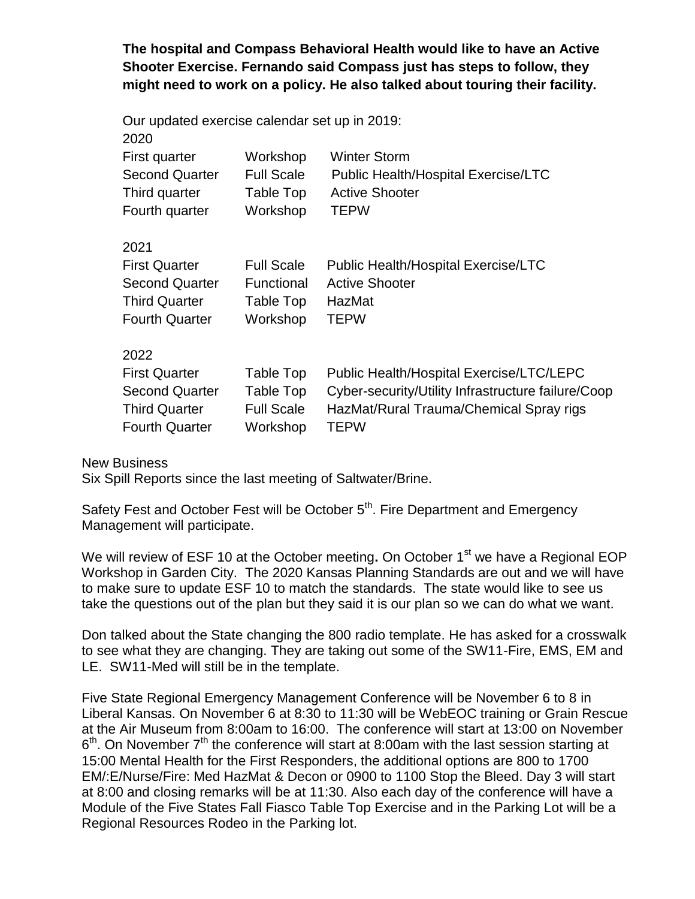**The hospital and Compass Behavioral Health would like to have an Active Shooter Exercise. Fernando said Compass just has steps to follow, they might need to work on a policy. He also talked about touring their facility.** 

| Our updated exercise calendar set up in 2019:<br>2020 |                               |                                                            |
|-------------------------------------------------------|-------------------------------|------------------------------------------------------------|
| First quarter<br><b>Second Quarter</b>                | Workshop<br><b>Full Scale</b> | <b>Winter Storm</b><br>Public Health/Hospital Exercise/LTC |
| Third quarter                                         | Table Top                     | <b>Active Shooter</b>                                      |
| Fourth quarter                                        | Workshop                      | <b>TEPW</b>                                                |
| 2021                                                  |                               |                                                            |
| <b>First Quarter</b>                                  | <b>Full Scale</b>             | <b>Public Health/Hospital Exercise/LTC</b>                 |
| <b>Second Quarter</b>                                 | Functional                    | <b>Active Shooter</b>                                      |
| <b>Third Quarter</b>                                  | Table Top                     | HazMat                                                     |
| <b>Fourth Quarter</b>                                 | Workshop                      | <b>TEPW</b>                                                |
| 2022                                                  |                               |                                                            |
| <b>First Quarter</b>                                  | Table Top                     | Public Health/Hospital Exercise/LTC/LEPC                   |
| <b>Second Quarter</b>                                 | Table Top                     | Cyber-security/Utility Infrastructure failure/Coop         |
| <b>Third Quarter</b>                                  | <b>Full Scale</b>             | HazMat/Rural Trauma/Chemical Spray rigs                    |
| <b>Fourth Quarter</b>                                 | Workshop                      | <b>TEPW</b>                                                |

New Business

Six Spill Reports since the last meeting of Saltwater/Brine.

Safety Fest and October Fest will be October  $5<sup>th</sup>$ . Fire Department and Emergency Management will participate.

We will review of ESF 10 at the October meeting. On October 1<sup>st</sup> we have a Regional EOP Workshop in Garden City. The 2020 Kansas Planning Standards are out and we will have to make sure to update ESF 10 to match the standards. The state would like to see us take the questions out of the plan but they said it is our plan so we can do what we want.

Don talked about the State changing the 800 radio template. He has asked for a crosswalk to see what they are changing. They are taking out some of the SW11-Fire, EMS, EM and LE. SW11-Med will still be in the template.

Five State Regional Emergency Management Conference will be November 6 to 8 in Liberal Kansas. On November 6 at 8:30 to 11:30 will be WebEOC training or Grain Rescue at the Air Museum from 8:00am to 16:00. The conference will start at 13:00 on November  $6<sup>th</sup>$ . On November 7<sup>th</sup> the conference will start at 8:00am with the last session starting at 15:00 Mental Health for the First Responders, the additional options are 800 to 1700 EM/:E/Nurse/Fire: Med HazMat & Decon or 0900 to 1100 Stop the Bleed. Day 3 will start at 8:00 and closing remarks will be at 11:30. Also each day of the conference will have a Module of the Five States Fall Fiasco Table Top Exercise and in the Parking Lot will be a Regional Resources Rodeo in the Parking lot.